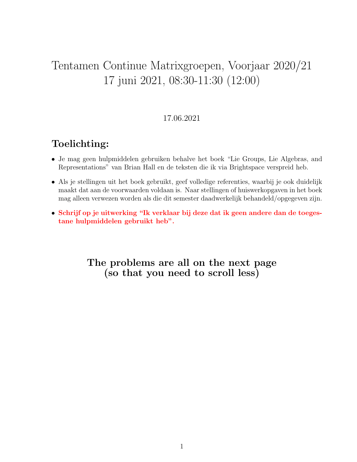# Tentamen Continue Matrixgroepen, Voorjaar 2020/21 17 juni 2021, 08:30-11:30 (12:00)

### 17.06.2021

## Toelichting:

- Je mag geen hulpmiddelen gebruiken behalve het boek "Lie Groups, Lie Algebras, and Representations" van Brian Hall en de teksten die ik via Brightspace verspreid heb.
- Als je stellingen uit het boek gebruikt, geef volledige referenties, waarbij je ook duidelijk maakt dat aan de voorwaarden voldaan is. Naar stellingen of huiswerkopgaven in het boek mag alleen verwezen worden als die dit semester daadwerkelijk behandeld/opgegeven zijn.
- Schrijf op je uitwerking "Ik verklaar bij deze dat ik geen andere dan de toegestane hulpmiddelen gebruikt heb".

### The problems are all on the next page (so that you need to scroll less)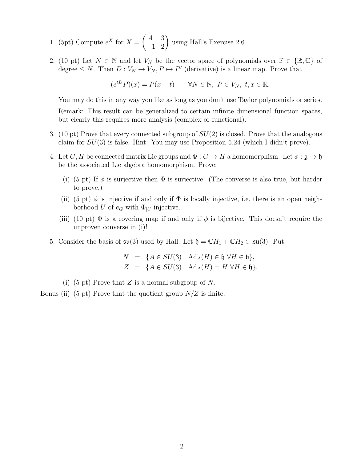- 1. (5pt) Compute  $e^X$  for  $X = \begin{pmatrix} 4 & 3 \\ -1 & 2 \end{pmatrix}$  using Hall's Exercise 2.6.
- 2. (10 pt) Let  $N \in \mathbb{N}$  and let  $V_N$  be the vector space of polynomials over  $\mathbb{F} \in \{\mathbb{R}, \mathbb{C}\}$  of degree  $\leq N$ . Then  $D: V_N \to V_N, P \mapsto P'$  (derivative) is a linear map. Prove that

$$
(e^{tD}P)(x) = P(x+t) \qquad \forall N \in \mathbb{N}, \ P \in V_N, \ t, x \in \mathbb{R}.
$$

You may do this in any way you like as long as you don't use Taylor polynomials or series. Remark: This result can be generalized to certain infinite dimensional function spaces, but clearly this requires more analysis (complex or functional).

- 3. (10 pt) Prove that every connected subgroup of  $SU(2)$  is closed. Prove that the analogous claim for  $SU(3)$  is false. Hint: You may use Proposition 5.24 (which I didn't prove).
- 4. Let G, H be connected matrix Lie groups and  $\Phi: G \to H$  a homomorphism. Let  $\phi: \mathfrak{g} \to \mathfrak{h}$ be the associated Lie algebra homomorphism. Prove:
	- (i) (5 pt) If  $\phi$  is surjective then  $\Phi$  is surjective. (The converse is also true, but harder to prove.)
	- (ii) (5 pt)  $\phi$  is injective if and only if  $\Phi$  is locally injective, i.e. there is an open neighborhood U of  $e_G$  with  $\Phi_{|U}$  injective.
	- (iii) (10 pt)  $\Phi$  is a covering map if and only if  $\phi$  is bijective. This doesn't require the unproven converse in (i)!
- 5. Consider the basis of  $\mathfrak{su}(3)$  used by Hall. Let  $\mathfrak{h} = \mathbb{C}H_1 + \mathbb{C}H_2 \subset \mathfrak{su}(3)$ . Put

$$
N = \{A \in SU(3) \mid \text{Ad}_A(H) \in \mathfrak{h} \,\forall H \in \mathfrak{h}\},
$$
  

$$
Z = \{A \in SU(3) \mid \text{Ad}_A(H) = H \,\forall H \in \mathfrak{h}\}.
$$

(i) (5 pt) Prove that Z is a normal subgroup of N.

Bonus (ii) (5 pt) Prove that the quotient group  $N/Z$  is finite.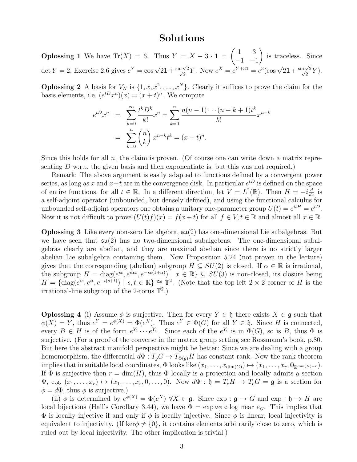#### Solutions

**Oplossing 1** We have Tr(X) = 6. Thus  $Y = X - 3 \cdot 1$  =  $(1 \ 3)$  $-1$   $-1$  $\setminus$ is traceless. Since det  $Y = 2$ , Exercise 2.6 gives  $e^Y = \cos\sqrt{2}1 + \frac{\sin\sqrt{2}}{\sqrt{2}}$  $\frac{\sqrt{2}}{2}Y$ . Now  $e^X = e^{Y+31} = e^3(\cos \sqrt{21} + \frac{\sin \sqrt{2}}{\sqrt{2}})$  $\frac{\sqrt{2}}{2}Y).$ 

**Oplossing 2** A basis for  $V_N$  is  $\{1, x, x^2, \ldots, x^N\}$ . Clearly it suffices to prove the claim for the basis elements, i.e.  $(e^{tD}x^n)(x) = (x+t)^n$ . We compute

$$
e^{tD}x^n = \sum_{k=0}^{\infty} \frac{t^k D^k}{k!} x^n = \sum_{k=0}^n \frac{n(n-1)\cdots(n-k+1)t^k}{k!} x^{n-k}
$$

$$
= \sum_{k=0}^n \binom{n}{k} x^{n-k} t^k = (x+t)^n.
$$

Since this holds for all  $n$ , the claim is proven. (Of course one can write down a matrix representing  $D$  w.r.t. the given basis and then exponentiate is, but this was not required.)

Remark: The above argument is easily adapted to functions defined by a convergent power series, as long as x and  $x+t$  are in the convergence disk. In particular  $e^{tD}$  is defined on the space of entire functions, for all  $t \in \mathbb{R}$ . In a different direction, let  $V = L^2(\mathbb{R})$ . Then  $H = -i\frac{d}{dx}$  is a self-adjoint operator (unbounded, but densely defined), and using the functional calculus for unbounded self-adjoint operators one obtains a unitary one-parameter group  $U(t) = e^{itH} = e^{tD}$ . Now it is not difficult to prove  $(U(t)f)(x) = f(x + t)$  for all  $f \in V, t \in \mathbb{R}$  and almost all  $x \in \mathbb{R}$ .

**Oplossing 3** Like every non-zero Lie algebra,  $\mathfrak{su}(2)$  has one-dimensional Lie subalgebras. But we have seen that  $\mathfrak{su}(2)$  has no two-dimensional subalgebras. The one-dimensional subalgebras clearly are abelian, and they are maximal abelian since there is no strictly larger abelian Lie subalgebra containing them. Now Proposition 5.24 (not proven in the lecture) gives that the corresponding (abelian) subgroup  $H \subseteq SU(2)$  is closed. If  $\alpha \in \mathbb{R}$  is irrational, the subgroup  $H = diag(e^{ix}, e^{i\alpha x}, e^{-ix(1+\alpha)}) \mid x \in \mathbb{R} \subseteq SU(3)$  is non-closed, its closure being  $\overline{H} = \{ \text{diag}(e^{is}, e^{it}, e^{-i(s+t)}) \mid s, t \in \mathbb{R} \} \cong \mathbb{T}^2$ . (Note that the top-left 2 × 2 corner of H is the irrational-line subgroup of the 2-torus  $\mathbb{T}^2$ .)

**Oplossing 4** (i) Assume  $\phi$  is surjective. Then for every  $Y \in \mathfrak{h}$  there exists  $X \in \mathfrak{g}$  such that  $\phi(X) = Y$ , thus  $e^Y = e^{\phi(X)} = \Phi(e^X)$ . Thus  $e^Y \in \Phi(G)$  for all  $Y \in \mathfrak{h}$ . Since H is connected, every  $B \in H$  is of the form  $e^{Y_1} \cdots e^{Y_n}$ . Since each of the  $e^{Y_i}$  is in  $\Phi(G)$ , so is B, thus  $\Phi$  is surjective. (For a proof of the converse in the matrix group setting see Rossmann's book, p.80. But here the abstract manifold perspective might be better: Since we are dealing with a group homomorphism, the differential  $d\Phi : T_g G \to T_{\Phi(g)} H$  has constant rank. Now the rank theorem implies that in suitable local coordinates,  $\Phi$  looks like  $(x_1, \ldots, x_{\dim(G)}) \mapsto (x_1, \ldots, x_r, \mathbf{0}_{\mathbb{R}^{\dim(H)-r}}).$ If  $\Phi$  is surjective then  $r = \dim(H)$ , thus  $\Phi$  locally is a projection and locally admits a section  $\Psi$ , e.g.  $(x_1, \ldots, x_r) \mapsto (x_1, \ldots, x_r, 0, \ldots, 0)$ . Now  $d\Psi : \mathfrak{h} = T_e H \to T_e G = \mathfrak{g}$  is a section for  $\phi = d\Phi$ , thus  $\phi$  is surjective.)

(ii)  $\phi$  is determined by  $e^{\phi(X)} = \Phi(e^X)$   $\forall X \in \mathfrak{g}$ . Since  $\exp : \mathfrak{g} \to G$  and  $\exp : \mathfrak{h} \to H$  are local bijections (Hall's Corollary 3.44), we have  $\Phi = \exp \circ \phi \circ \log$  near  $e_G$ . This implies that  $\Phi$  is locally injective if and only if  $\phi$  is locally injective. Since  $\phi$  is linear, local injectivity is equivalent to injectivity. (If ker $\phi \neq \{0\}$ , it contains elements arbitrarily close to zero, which is ruled out by local injectivity. The other implication is trivial.)